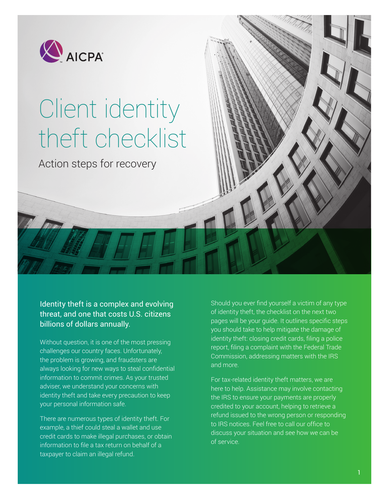

# Client identity theft checklist

Action steps for recovery

Identity theft is a complex and evolving threat, and one that costs U.S. citizens billions of dollars annually.

Without question, it is one of the most pressing challenges our country faces. Unfortunately, the problem is growing, and fraudsters are always looking for new ways to steal confidential information to commit crimes. As your trusted adviser, we understand your concerns with identity theft and take every precaution to keep your personal information safe.

There are numerous types of identity theft. For example, a thief could steal a wallet and use credit cards to make illegal purchases, or obtain information to file a tax return on behalf of a taxpayer to claim an illegal refund.

Should you ever find yourself a victim of any type of identity theft, the checklist on the next two pages will be your guide. It outlines specific steps you should take to help mitigate the damage of identity theft: closing credit cards, filing a police report, filing a complaint with the Federal Trade Commission, addressing matters with the IRS and more.

For tax-related identity theft matters, we are here to help. Assistance may involve contacting the IRS to ensure your payments are properly credited to your account, helping to retrieve a refund issued to the wrong person or responding to IRS notices. Feel free to call our office to discuss your situation and see how we can be of service.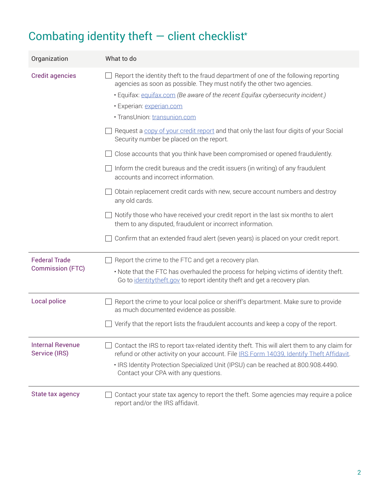## Combating identity theft  $-$  client checklist\*

| Organization                                    | What to do                                                                                                                                                                                                                                                                                                                                                                                                                                                                                                                                                                                                                                                                                                                                                                                                                                                                                                                                                                                                        |
|-------------------------------------------------|-------------------------------------------------------------------------------------------------------------------------------------------------------------------------------------------------------------------------------------------------------------------------------------------------------------------------------------------------------------------------------------------------------------------------------------------------------------------------------------------------------------------------------------------------------------------------------------------------------------------------------------------------------------------------------------------------------------------------------------------------------------------------------------------------------------------------------------------------------------------------------------------------------------------------------------------------------------------------------------------------------------------|
| <b>Credit agencies</b>                          | Report the identity theft to the fraud department of one of the following reporting<br>agencies as soon as possible. They must notify the other two agencies.<br>• Equifax: equifax.com (Be aware of the recent Equifax cybersecurity incident.)<br>· Experian: experian.com<br>· TransUnion: transunion.com<br>Request a copy of your credit report and that only the last four digits of your Social<br>Security number be placed on the report.<br>Close accounts that you think have been compromised or opened fraudulently.<br>Inform the credit bureaus and the credit issuers (in writing) of any fraudulent<br>accounts and incorrect information.<br>Obtain replacement credit cards with new, secure account numbers and destroy<br>any old cards.<br>$\exists$ Notify those who have received your credit report in the last six months to alert<br>them to any disputed, fraudulent or incorrect information.<br>Confirm that an extended fraud alert (seven years) is placed on your credit report. |
| <b>Federal Trade</b><br><b>Commission (FTC)</b> | Report the crime to the FTC and get a recovery plan.<br>. Note that the FTC has overhauled the process for helping victims of identity theft.<br>Go to identity the ft.gov to report identity the ft and get a recovery plan.                                                                                                                                                                                                                                                                                                                                                                                                                                                                                                                                                                                                                                                                                                                                                                                     |
| Local police                                    | Report the crime to your local police or sheriff's department. Make sure to provide<br>as much documented evidence as possible.<br>Verify that the report lists the fraudulent accounts and keep a copy of the report.                                                                                                                                                                                                                                                                                                                                                                                                                                                                                                                                                                                                                                                                                                                                                                                            |
| <b>Internal Revenue</b><br>Service (IRS)        | Contact the IRS to report tax-related identity theft. This will alert them to any claim for<br>refund or other activity on your account. File IRS Form 14039, Identify Theft Affidavit.<br>. IRS Identity Protection Specialized Unit (IPSU) can be reached at 800.908.4490.<br>Contact your CPA with any questions.                                                                                                                                                                                                                                                                                                                                                                                                                                                                                                                                                                                                                                                                                              |
| State tax agency                                | Contact your state tax agency to report the theft. Some agencies may require a police<br>report and/or the IRS affidavit.                                                                                                                                                                                                                                                                                                                                                                                                                                                                                                                                                                                                                                                                                                                                                                                                                                                                                         |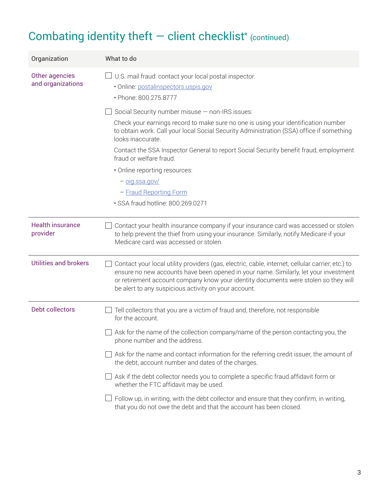### Combating identity theft  $-$  client checklist\* (continued)

| Organization                        | What to do                                                                                                                                                                                                                                                                                                                              |
|-------------------------------------|-----------------------------------------------------------------------------------------------------------------------------------------------------------------------------------------------------------------------------------------------------------------------------------------------------------------------------------------|
| Other agencies<br>and organizations | U.S. mail fraud: contact your local postal inspector.<br>· Online: postalinspectors.uspis.gov<br>· Phone: 800.275.8777                                                                                                                                                                                                                  |
|                                     | Social Security number misuse - non-IRS issues:                                                                                                                                                                                                                                                                                         |
|                                     | Check your earnings record to make sure no one is using your identification number<br>to obtain work. Call your local Social Security Administration (SSA) office if something<br>looks inaccurate.                                                                                                                                     |
|                                     | Contact the SSA Inspector General to report Social Security benefit fraud, employment<br>fraud or welfare fraud.                                                                                                                                                                                                                        |
|                                     | . Online reporting resources:                                                                                                                                                                                                                                                                                                           |
|                                     | $ o$ ig.ssa.gov/                                                                                                                                                                                                                                                                                                                        |
|                                     | - Fraud Reporting Form                                                                                                                                                                                                                                                                                                                  |
|                                     | · SSA fraud hotline: 800.269.0271                                                                                                                                                                                                                                                                                                       |
| <b>Health insurance</b><br>provider | Contact your health insurance company if your insurance card was accessed or stolen<br>to help prevent the thief from using your insurance. Similarly, notify Medicare if your<br>Medicare card was accessed or stolen.                                                                                                                 |
| <b>Utilities and brokers</b>        | Contact your local utility providers (gas, electric, cable, internet, cellular carrier, etc.) to<br>ensure no new accounts have been opened in your name. Similarly, let your investment<br>or retirement account company know your identity documents were stolen so they will<br>be alert to any suspicious activity on your account. |
| <b>Debt collectors</b>              | Tell collectors that you are a victim of fraud and, therefore, not responsible<br>for the account.                                                                                                                                                                                                                                      |
|                                     | Ask for the name of the collection company/name of the person contacting you, the<br>phone number and the address.                                                                                                                                                                                                                      |
|                                     | $\Box$ Ask for the name and contact information for the referring credit issuer, the amount of<br>the debt, account number and dates of the charges.                                                                                                                                                                                    |
|                                     | Ask if the debt collector needs you to complete a specific fraud affidavit form or<br>whether the FTC affidavit may be used.                                                                                                                                                                                                            |
|                                     | Follow up, in writing, with the debt collector and ensure that they confirm, in writing,<br>that you do not owe the debt and that the account has been closed.                                                                                                                                                                          |